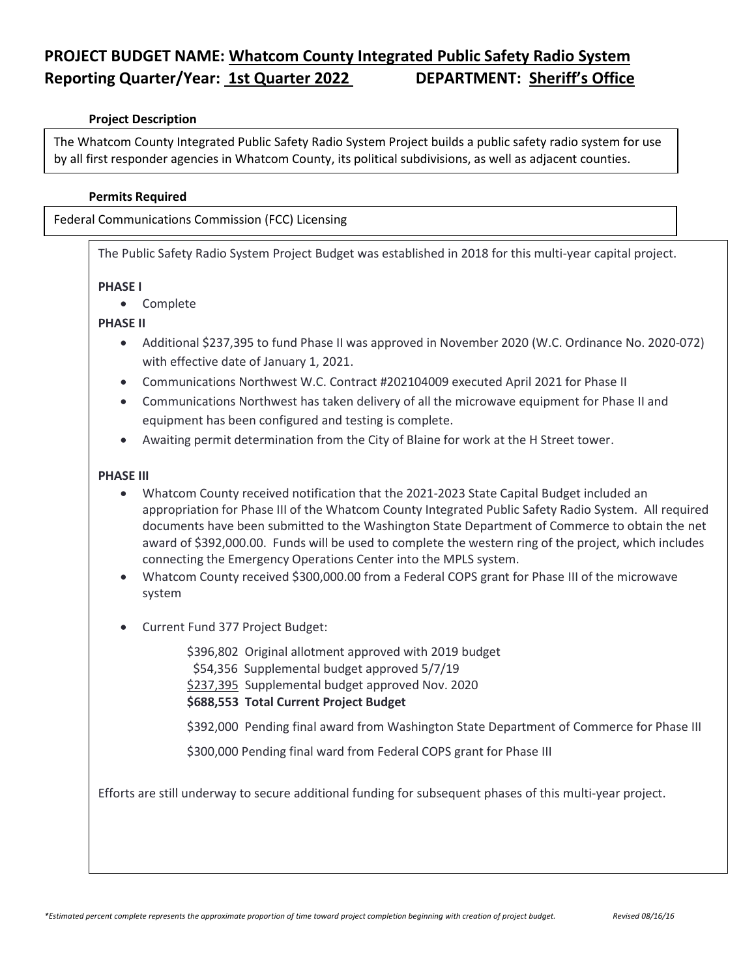# **PROJECT BUDGET NAME: Whatcom County Integrated Public Safety Radio System Reporting Quarter/Year: 1st Quarter 2022 DEPARTMENT: Sheriff's Office**

# **Project Description**

The Whatcom County Integrated Public Safety Radio System Project builds a public safety radio system for use by all first responder agencies in Whatcom County, its political subdivisions, as well as adjacent counties.

## **Permits Required**

Federal Communications Commission (FCC) Licensing

The Public Safety Radio System Project Budget was established in 2018 for this multi-year capital project.

#### **PHASE I**

• Complete

## **PHASE II**

- Additional \$237,395 to fund Phase II was approved in November 2020 (W.C. Ordinance No. 2020-072) with effective date of January 1, 2021.
- Communications Northwest W.C. Contract #202104009 executed April 2021 for Phase II
- Communications Northwest has taken delivery of all the microwave equipment for Phase II and equipment has been configured and testing is complete.
- Awaiting permit determination from the City of Blaine for work at the H Street tower.

### **PHASE III**

- Whatcom County received notification that the 2021-2023 State Capital Budget included an appropriation for Phase III of the Whatcom County Integrated Public Safety Radio System. All required documents have been submitted to the Washington State Department of Commerce to obtain the net award of \$392,000.00. Funds will be used to complete the western ring of the project, which includes connecting the Emergency Operations Center into the MPLS system.
- Whatcom County received \$300,000.00 from a Federal COPS grant for Phase III of the microwave system
- Current Fund 377 Project Budget:

\$396,802 Original allotment approved with 2019 budget

\$54,356 Supplemental budget approved 5/7/19

\$237,395 Supplemental budget approved Nov. 2020

**\$688,553 Total Current Project Budget**

\$392,000 Pending final award from Washington State Department of Commerce for Phase III

\$300,000 Pending final ward from Federal COPS grant for Phase III

Efforts are still underway to secure additional funding for subsequent phases of this multi-year project.